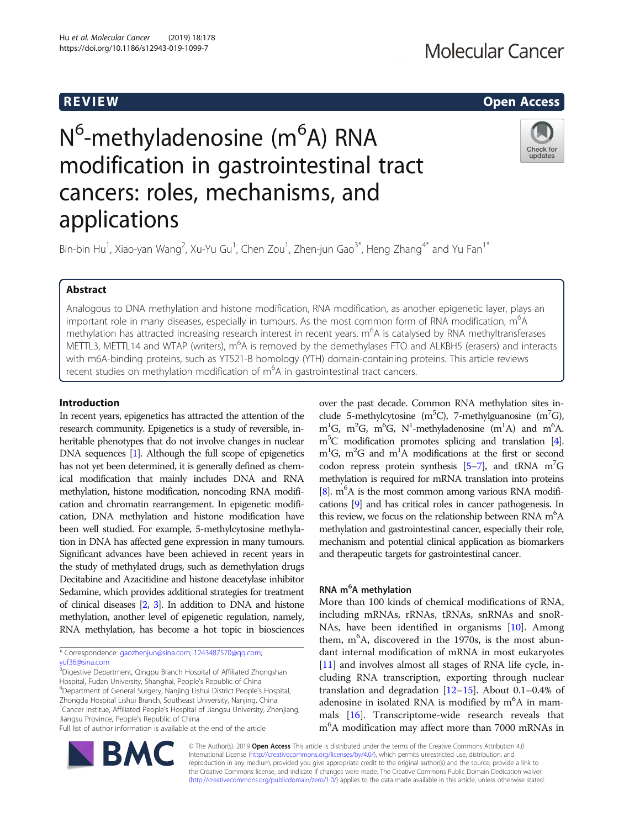## R EVI EW Open Access

# N<sup>6</sup>-methyladenosine (m<sup>6</sup>A) RNA modification in gastrointestinal tract cancers: roles, mechanisms, and applications



Bin-bin Hu<sup>1</sup>, Xiao-yan Wang<sup>2</sup>, Xu-Yu Gu<sup>1</sup>, Chen Zou<sup>1</sup>, Zhen-jun Gao<sup>3\*</sup>, Heng Zhang<sup>4\*</sup> and Yu Fan<sup>1\*</sup>

## Abstract

Analogous to DNA methylation and histone modification, RNA modification, as another epigenetic layer, plays an important role in many diseases, especially in tumours. As the most common form of RNA modification, m<sup>6</sup>A methylation has attracted increasing research interest in recent years. m<sup>6</sup>A is catalysed by RNA methyltransferases METTL3, METTL14 and WTAP (writers), m<sup>6</sup>A is removed by the demethylases FTO and ALKBH5 (erasers) and interacts with m6A-binding proteins, such as YT521-B homology (YTH) domain-containing proteins. This article reviews recent studies on methylation modification of m<sup>6</sup>A in gastrointestinal tract cancers.

## Introduction

In recent years, epigenetics has attracted the attention of the research community. Epigenetics is a study of reversible, inheritable phenotypes that do not involve changes in nuclear DNA sequences [[1](#page-6-0)]. Although the full scope of epigenetics has not yet been determined, it is generally defined as chemical modification that mainly includes DNA and RNA methylation, histone modification, noncoding RNA modification and chromatin rearrangement. In epigenetic modification, DNA methylation and histone modification have been well studied. For example, 5-methylcytosine methylation in DNA has affected gene expression in many tumours. Significant advances have been achieved in recent years in the study of methylated drugs, such as demethylation drugs Decitabine and Azacitidine and histone deacetylase inhibitor Sedamine, which provides additional strategies for treatment of clinical diseases [\[2,](#page-6-0) [3](#page-6-0)]. In addition to DNA and histone methylation, another level of epigenetic regulation, namely, RNA methylation, has become a hot topic in biosciences

\* Correspondence: [gaozhenjun@sina.com;](mailto:gaozhenjun@sina.com) [1243487570@qq.com](mailto:1243487570@qq.com); [yuf36@sina.com](mailto:yuf36@sina.com)

<sup>3</sup> Digestive Department, Qingpu Branch Hospital of Affiliated Zhongshan Hospital, Fudan University, Shanghai, People's Republic of China <sup>4</sup> Department of General Surgery, Nanjing Lishui District People's Hospital, Zhongda Hospital Lishui Branch, Southeast University, Nanjing, China <sup>1</sup> Cancer Institue, Affiliated People's Hospital of Jiangsu University, Zhenjiang, Jiangsu Province, People's Republic of China

Full list of author information is available at the end of the article



over the past decade. Common RNA methylation sites include 5-methylcytosine (m<sup>5</sup>C), 7-methylguanosine (m<sup>7</sup>G), m<sup>1</sup>G, m<sup>2</sup>G, m<sup>6</sup>G, N<sup>1</sup>-methyladenosine (m<sup>1</sup>A) and m<sup>6</sup>A. m5 C modification promotes splicing and translation [\[4](#page-6-0)].  $m^1G$ ,  $m^2G$  and  $m^1A$  modifications at the first or second codon repress protein synthesis  $[5-7]$  $[5-7]$  $[5-7]$  $[5-7]$ , and tRNA m<sup>7</sup>G methylation is required for mRNA translation into proteins [[8](#page-6-0)].  $m<sup>6</sup>A$  is the most common among various RNA modifications [\[9](#page-6-0)] and has critical roles in cancer pathogenesis. In this review, we focus on the relationship between RNA m<sup>6</sup>A methylation and gastrointestinal cancer, especially their role, mechanism and potential clinical application as biomarkers and therapeutic targets for gastrointestinal cancer.

## RNA m<sup>6</sup>A methylation

More than 100 kinds of chemical modifications of RNA, including mRNAs, rRNAs, tRNAs, snRNAs and snoR-NAs, have been identified in organisms [[10](#page-6-0)]. Among them, m<sup>6</sup>A, discovered in the 1970s, is the most abundant internal modification of mRNA in most eukaryotes [[11\]](#page-6-0) and involves almost all stages of RNA life cycle, including RNA transcription, exporting through nuclear translation and degradation [\[12](#page-6-0)–[15\]](#page-6-0). About 0.1–0.4% of adenosine in isolated RNA is modified by m<sup>6</sup>A in mammals [[16\]](#page-6-0). Transcriptome-wide research reveals that m<sup>6</sup>A modification may affect more than 7000 mRNAs in

© The Author(s). 2019 Open Access This article is distributed under the terms of the Creative Commons Attribution 4.0 International License [\(http://creativecommons.org/licenses/by/4.0/](http://creativecommons.org/licenses/by/4.0/)), which permits unrestricted use, distribution, and reproduction in any medium, provided you give appropriate credit to the original author(s) and the source, provide a link to the Creative Commons license, and indicate if changes were made. The Creative Commons Public Domain Dedication waiver [\(http://creativecommons.org/publicdomain/zero/1.0/](http://creativecommons.org/publicdomain/zero/1.0/)) applies to the data made available in this article, unless otherwise stated.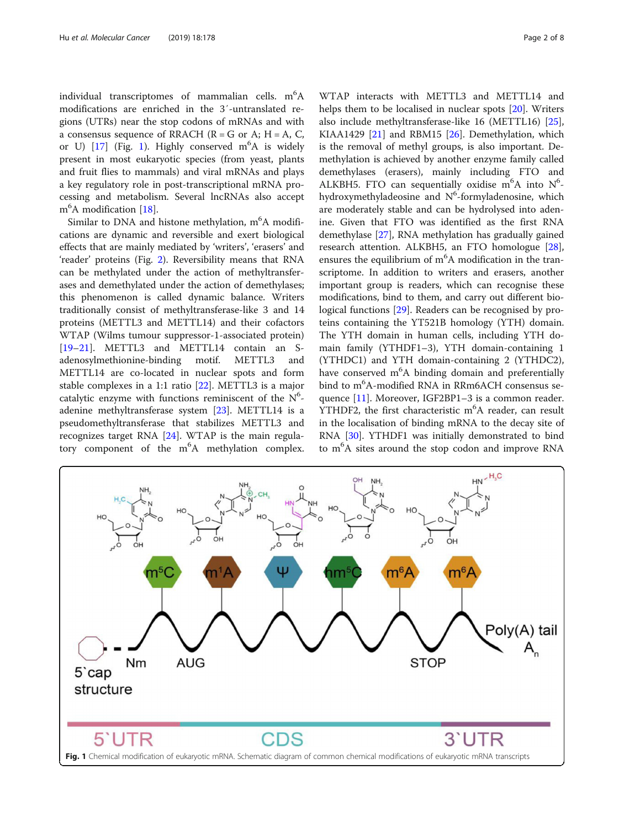individual transcriptomes of mammalian cells.  $m^6A$ modifications are enriched in the 3′-untranslated regions (UTRs) near the stop codons of mRNAs and with a consensus sequence of RRACH ( $R = G$  or A;  $H = A$ , C, or U)  $[17]$  $[17]$  (Fig. 1). Highly conserved m<sup>6</sup>A is widely present in most eukaryotic species (from yeast, plants and fruit flies to mammals) and viral mRNAs and plays a key regulatory role in post-transcriptional mRNA processing and metabolism. Several lncRNAs also accept m<sup>6</sup>A modification [\[18\]](#page-6-0).

Similar to DNA and histone methylation, m<sup>6</sup>A modifications are dynamic and reversible and exert biological effects that are mainly mediated by 'writers', 'erasers' and 'reader' proteins (Fig. [2](#page-2-0)). Reversibility means that RNA can be methylated under the action of methyltransferases and demethylated under the action of demethylases; this phenomenon is called dynamic balance. Writers traditionally consist of methyltransferase-like 3 and 14 proteins (METTL3 and METTL14) and their cofactors WTAP (Wilms tumour suppressor-1-associated protein) [[19](#page-6-0)–[21](#page-6-0)]. METTL3 and METTL14 contain an Sadenosylmethionine-binding motif. METTL3 and METTL14 are co-located in nuclear spots and form stable complexes in a 1:1 ratio [\[22](#page-6-0)]. METTL3 is a major catalytic enzyme with functions reminiscent of the  $N^6$ adenine methyltransferase system [\[23](#page-6-0)]. METTL14 is a pseudomethyltransferase that stabilizes METTL3 and recognizes target RNA [\[24](#page-6-0)]. WTAP is the main regulatory component of the m<sup>6</sup>A methylation complex.

WTAP interacts with METTL3 and METTL14 and helps them to be localised in nuclear spots [[20\]](#page-6-0). Writers also include methyltransferase-like 16 (METTL16) [\[25](#page-6-0)], KIAA1429  $[21]$  and RBM15  $[26]$  $[26]$ . Demethylation, which is the removal of methyl groups, is also important. Demethylation is achieved by another enzyme family called demethylases (erasers), mainly including FTO and ALKBH5. FTO can sequentially oxidise m<sup>6</sup>A into  $N^6$ hydroxymethyladeosine and N<sup>6</sup>-formyladenosine, which are moderately stable and can be hydrolysed into adenine. Given that FTO was identified as the first RNA demethylase [\[27](#page-6-0)], RNA methylation has gradually gained research attention. ALKBH5, an FTO homologue [\[28](#page-6-0)], ensures the equilibrium of  $m<sup>6</sup>A$  modification in the transcriptome. In addition to writers and erasers, another important group is readers, which can recognise these modifications, bind to them, and carry out different bio-logical functions [\[29](#page-6-0)]. Readers can be recognised by proteins containing the YT521B homology (YTH) domain. The YTH domain in human cells, including YTH domain family (YTHDF1–3), YTH domain-containing 1 (YTHDC1) and YTH domain-containing 2 (YTHDC2), have conserved m<sup>6</sup>A binding domain and preferentially bind to m<sup>6</sup>A-modified RNA in RRm6ACH consensus se-quence [\[11\]](#page-6-0). Moreover, IGF2BP1-3 is a common reader. YTHDF2, the first characteristic m<sup>6</sup>A reader, can result in the localisation of binding mRNA to the decay site of RNA [[30](#page-6-0)]. YTHDF1 was initially demonstrated to bind to m<sup>6</sup>A sites around the stop codon and improve RNA

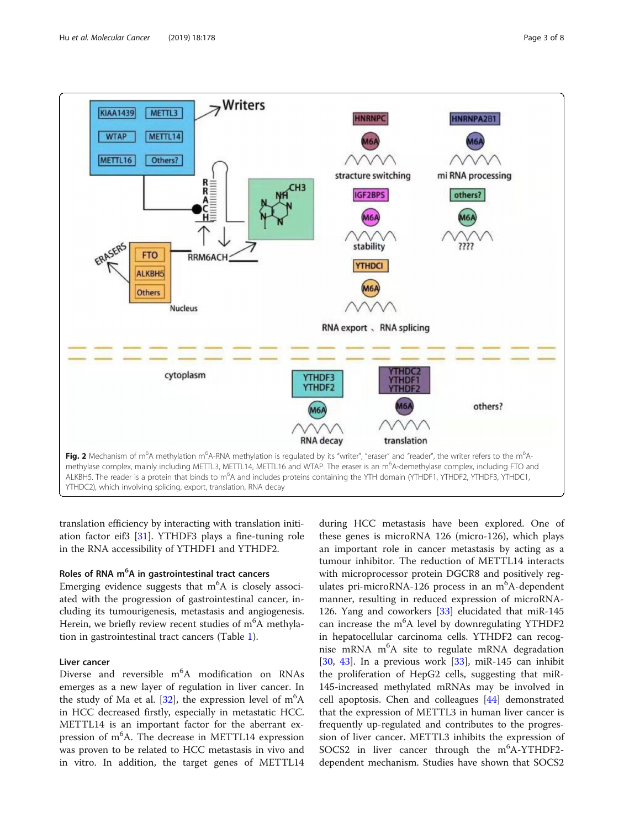<span id="page-2-0"></span>

translation efficiency by interacting with translation initiation factor eif3 [\[31](#page-6-0)]. YTHDF3 plays a fine-tuning role in the RNA accessibility of YTHDF1 and YTHDF2.

## Roles of RNA m<sup>6</sup>A in gastrointestinal tract cancers

Emerging evidence suggests that  $m^6A$  is closely associated with the progression of gastrointestinal cancer, including its tumourigenesis, metastasis and angiogenesis. Herein, we briefly review recent studies of m<sup>6</sup>A methylation in gastrointestinal tract cancers (Table [1](#page-3-0)).

## Liver cancer

Diverse and reversible m<sup>6</sup>A modification on RNAs emerges as a new layer of regulation in liver cancer. In the study of Ma et al. [\[32](#page-6-0)], the expression level of m<sup>6</sup>A in HCC decreased firstly, especially in metastatic HCC. METTL14 is an important factor for the aberrant expression of m<sup>6</sup>A. The decrease in METTL14 expression was proven to be related to HCC metastasis in vivo and in vitro. In addition, the target genes of METTL14

during HCC metastasis have been explored. One of these genes is microRNA 126 (micro-126), which plays an important role in cancer metastasis by acting as a tumour inhibitor. The reduction of METTL14 interacts with microprocessor protein DGCR8 and positively regulates pri-microRNA-126 process in an m<sup>6</sup>A-dependent manner, resulting in reduced expression of microRNA-126. Yang and coworkers [[33\]](#page-6-0) elucidated that miR-145 can increase the m<sup>6</sup>A level by downregulating YTHDF2 in hepatocellular carcinoma cells. YTHDF2 can recognise mRNA m<sup>6</sup>A site to regulate mRNA degradation [[30,](#page-6-0) [43](#page-6-0)]. In a previous work  $[33]$  $[33]$ , miR-145 can inhibit the proliferation of HepG2 cells, suggesting that miR-145-increased methylated mRNAs may be involved in cell apoptosis. Chen and colleagues [[44](#page-6-0)] demonstrated that the expression of METTL3 in human liver cancer is frequently up-regulated and contributes to the progression of liver cancer. METTL3 inhibits the expression of SOCS2 in liver cancer through the m<sup>6</sup>A-YTHDF2dependent mechanism. Studies have shown that SOCS2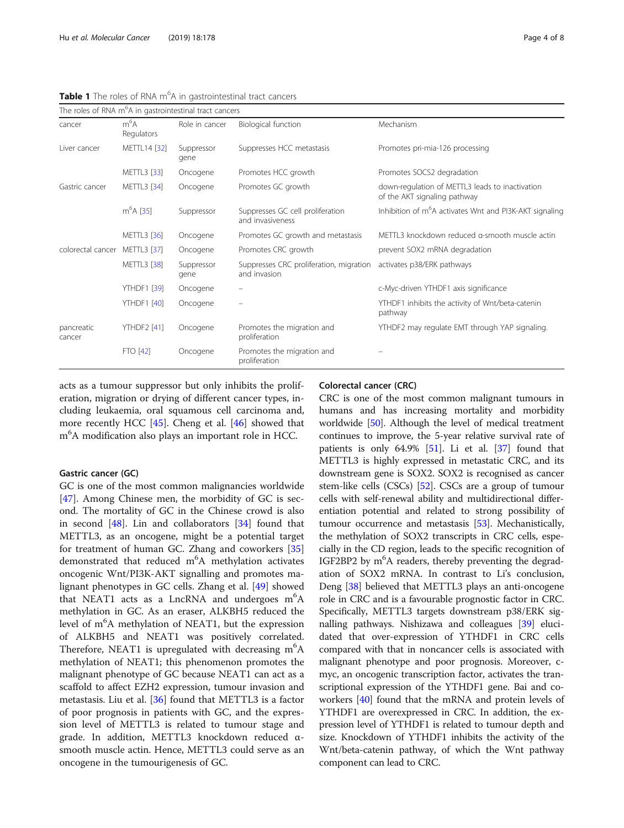|                      |                      | The roles of RNA m <sup>6</sup> A in gastrointestinal tract cancers |                                                         |                                                                                 |
|----------------------|----------------------|---------------------------------------------------------------------|---------------------------------------------------------|---------------------------------------------------------------------------------|
| cancer               | $m^6A$<br>Regulators | Role in cancer                                                      | Biological function                                     | Mechanism                                                                       |
| Liver cancer         | METTL14 [32]         | Suppressor<br>gene                                                  | Suppresses HCC metastasis                               | Promotes pri-mia-126 processing                                                 |
|                      | <b>METTL3</b> [33]   | Oncogene                                                            | Promotes HCC growth                                     | Promotes SOCS2 degradation                                                      |
| Gastric cancer       | <b>METTL3</b> [34]   | Oncogene                                                            | Promotes GC growth                                      | down-regulation of METTL3 leads to inactivation<br>of the AKT signaling pathway |
|                      | $m6A$ [35]           | Suppressor                                                          | Suppresses GC cell proliferation<br>and invasiveness    | Inhibition of m <sup>6</sup> A activates Wnt and PI3K-AKT signaling             |
|                      | <b>METTL3</b> [36]   | Oncogene                                                            | Promotes GC growth and metastasis                       | METTL3 knockdown reduced a-smooth muscle actin                                  |
| colorectal cancer    | <b>METTL3</b> [37]   | Oncogene                                                            | Promotes CRC growth                                     | prevent SOX2 mRNA degradation                                                   |
|                      | <b>METTL3</b> [38]   | Suppressor<br>gene                                                  | Suppresses CRC proliferation, migration<br>and invasion | activates p38/ERK pathways                                                      |
|                      | <b>YTHDF1 [39]</b>   | Oncogene                                                            |                                                         | c-Myc-driven YTHDF1 axis significance                                           |
|                      | <b>YTHDF1</b> [40]   | Oncogene                                                            |                                                         | YTHDF1 inhibits the activity of Wnt/beta-catenin<br>pathway                     |
| pancreatic<br>cancer | <b>YTHDF2</b> [41]   | Oncogene                                                            | Promotes the migration and<br>proliferation             | YTHDF2 may regulate EMT through YAP signaling.                                  |
|                      | <b>FTO [42]</b>      | Oncogene                                                            | Promotes the migration and<br>proliferation             |                                                                                 |

<span id="page-3-0"></span>Table 1 The roles of RNA m<sup>6</sup>A in gastrointestinal tract cancers

acts as a tumour suppressor but only inhibits the proliferation, migration or drying of different cancer types, including leukaemia, oral squamous cell carcinoma and, more recently HCC [\[45\]](#page-6-0). Cheng et al. [\[46\]](#page-6-0) showed that m<sup>6</sup>A modification also plays an important role in HCC.

## Gastric cancer (GC)

GC is one of the most common malignancies worldwide [[47\]](#page-6-0). Among Chinese men, the morbidity of GC is second. The mortality of GC in the Chinese crowd is also in second [[48](#page-6-0)]. Lin and collaborators [\[34](#page-6-0)] found that METTL3, as an oncogene, might be a potential target for treatment of human GC. Zhang and coworkers [[35](#page-6-0)] demonstrated that reduced m<sup>6</sup>A methylation activates oncogenic Wnt/PI3K-AKT signalling and promotes malignant phenotypes in GC cells. Zhang et al. [[49\]](#page-6-0) showed that NEAT1 acts as a LncRNA and undergoes m<sup>6</sup>A methylation in GC. As an eraser, ALKBH5 reduced the level of m<sup>6</sup>A methylation of NEAT1, but the expression of ALKBH5 and NEAT1 was positively correlated. Therefore, NEAT1 is upregulated with decreasing  $m<sup>6</sup>A$ methylation of NEAT1; this phenomenon promotes the malignant phenotype of GC because NEAT1 can act as a scaffold to affect EZH2 expression, tumour invasion and metastasis. Liu et al. [\[36](#page-6-0)] found that METTL3 is a factor of poor prognosis in patients with GC, and the expression level of METTL3 is related to tumour stage and grade. In addition, METTL3 knockdown reduced αsmooth muscle actin. Hence, METTL3 could serve as an oncogene in the tumourigenesis of GC.

## Colorectal cancer (CRC)

CRC is one of the most common malignant tumours in humans and has increasing mortality and morbidity worldwide [\[50](#page-6-0)]. Although the level of medical treatment continues to improve, the 5-year relative survival rate of patients is only  $64.9\%$  [\[51\]](#page-6-0). Li et al. [[37](#page-6-0)] found that METTL3 is highly expressed in metastatic CRC, and its downstream gene is SOX2. SOX2 is recognised as cancer stem-like cells (CSCs) [\[52\]](#page-6-0). CSCs are a group of tumour cells with self-renewal ability and multidirectional differentiation potential and related to strong possibility of tumour occurrence and metastasis [\[53\]](#page-6-0). Mechanistically, the methylation of SOX2 transcripts in CRC cells, especially in the CD region, leads to the specific recognition of IGF2BP2 by m<sup>6</sup>A readers, thereby preventing the degradation of SOX2 mRNA. In contrast to Li's conclusion, Deng [[38](#page-6-0)] believed that METTL3 plays an anti-oncogene role in CRC and is a favourable prognostic factor in CRC. Specifically, METTL3 targets downstream p38/ERK signalling pathways. Nishizawa and colleagues [[39\]](#page-6-0) elucidated that over-expression of YTHDF1 in CRC cells compared with that in noncancer cells is associated with malignant phenotype and poor prognosis. Moreover, cmyc, an oncogenic transcription factor, activates the transcriptional expression of the YTHDF1 gene. Bai and coworkers [\[40\]](#page-6-0) found that the mRNA and protein levels of YTHDF1 are overexpressed in CRC. In addition, the expression level of YTHDF1 is related to tumour depth and size. Knockdown of YTHDF1 inhibits the activity of the Wnt/beta-catenin pathway, of which the Wnt pathway component can lead to CRC.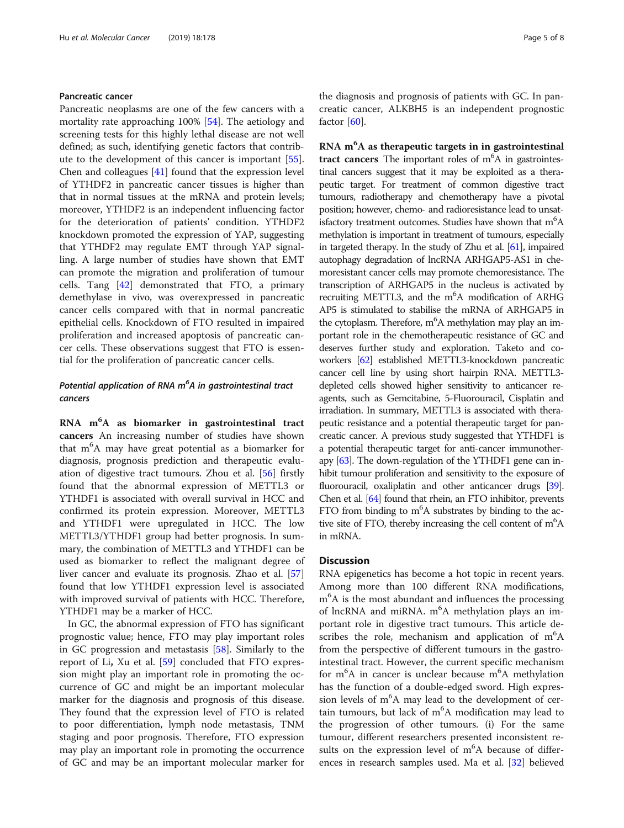## Pancreatic cancer

Pancreatic neoplasms are one of the few cancers with a mortality rate approaching 100% [[54\]](#page-6-0). The aetiology and screening tests for this highly lethal disease are not well defined; as such, identifying genetic factors that contribute to the development of this cancer is important [\[55](#page-6-0)]. Chen and colleagues [[41](#page-6-0)] found that the expression level of YTHDF2 in pancreatic cancer tissues is higher than that in normal tissues at the mRNA and protein levels; moreover, YTHDF2 is an independent influencing factor for the deterioration of patients' condition. YTHDF2 knockdown promoted the expression of YAP, suggesting that YTHDF2 may regulate EMT through YAP signalling. A large number of studies have shown that EMT can promote the migration and proliferation of tumour cells. Tang [\[42\]](#page-6-0) demonstrated that FTO, a primary demethylase in vivo, was overexpressed in pancreatic cancer cells compared with that in normal pancreatic epithelial cells. Knockdown of FTO resulted in impaired proliferation and increased apoptosis of pancreatic cancer cells. These observations suggest that FTO is essential for the proliferation of pancreatic cancer cells.

## Potential application of RNA m°A in gastrointestinal tract<br>cancers

**EXNA m<sup>-</sup>A as biomarker in gastrointestinal tract**<br>**cancers** An increasing number of studies have shown<br>that m<sup>6</sup>A may have great potential as a biomarker for that m<sup>6</sup>A may have great potential as a biomarker for diagnosis, prognosis prediction and therapeutic evaluation of digestive tract tumours. Zhou et al. [\[56](#page-7-0)] firstly found that the abnormal expression of METTL3 or YTHDF1 is associated with overall survival in HCC and confirmed its protein expression. Moreover, METTL3 and YTHDF1 were upregulated in HCC. The low METTL3/YTHDF1 group had better prognosis. In summary, the combination of METTL3 and YTHDF1 can be used as biomarker to reflect the malignant degree of liver cancer and evaluate its prognosis. Zhao et al. [[57](#page-7-0)] found that low YTHDF1 expression level is associated with improved survival of patients with HCC. Therefore, YTHDF1 may be a marker of HCC.

In GC, the abnormal expression of FTO has significant prognostic value; hence, FTO may play important roles in GC progression and metastasis [\[58\]](#page-7-0). Similarly to the report of Li, Xu et al. [\[59\]](#page-7-0) concluded that FTO expression might play an important role in promoting the occurrence of GC and might be an important molecular marker for the diagnosis and prognosis of this disease. They found that the expression level of FTO is related to poor differentiation, lymph node metastasis, TNM staging and poor prognosis. Therefore, FTO expression may play an important role in promoting the occurrence of GC and may be an important molecular marker for the diagnosis and prognosis of patients with GC. In pancreatic cancer, ALKBH5 is an independent prognostic factor [\[60](#page-7-0)].

RNA m<sup>6</sup>A as therapeutic targets in in gastrointestinal tract cancers The important roles of  $m<sup>6</sup>A$  in gastrointes-<br>tinal cancers suggest that it may be exploited as a theratinal cancers suggest that it may be exploited as a therapeutic target. For treatment of common digestive tract tumours, radiotherapy and chemotherapy have a pivotal position; however, chemo- and radioresistance lead to unsatisfactory treatment outcomes. Studies have shown that m<sup>6</sup>A methylation is important in treatment of tumours, especially in targeted therapy. In the study of Zhu et al. [\[61](#page-7-0)], impaired autophagy degradation of lncRNA ARHGAP5-AS1 in chemoresistant cancer cells may promote chemoresistance. The transcription of ARHGAP5 in the nucleus is activated by recruiting METTL3, and the m<sup>6</sup>A modification of ARHG AP5 is stimulated to stabilise the mRNA of ARHGAP5 in the cytoplasm. Therefore, m<sup>6</sup>A methylation may play an important role in the chemotherapeutic resistance of GC and deserves further study and exploration. Taketo and coworkers [[62\]](#page-7-0) established METTL3-knockdown pancreatic cancer cell line by using short hairpin RNA. METTL3 depleted cells showed higher sensitivity to anticancer reagents, such as Gemcitabine, 5-Fluorouracil, Cisplatin and irradiation. In summary, METTL3 is associated with therapeutic resistance and a potential therapeutic target for pancreatic cancer. A previous study suggested that YTHDF1 is a potential therapeutic target for anti-cancer immunotherapy [\[63](#page-7-0)]. The down-regulation of the YTHDF1 gene can inhibit tumour proliferation and sensitivity to the exposure of fluorouracil, oxaliplatin and other anticancer drugs [\[39\]](#page-6-0). Chen et al. [\[64](#page-7-0)] found that rhein, an FTO inhibitor, prevents FTO from binding to  $m<sup>6</sup>A$  substrates by binding to the active site of FTO, thereby increasing the cell content of m<sup>6</sup>A in mRNA.

### **Discussion**

RNA epigenetics has become a hot topic in recent years. Among more than 100 different RNA modifications, m6 A is the most abundant and influences the processing of lncRNA and miRNA. m<sup>6</sup>A methylation plays an important role in digestive tract tumours. This article describes the role, mechanism and application of  $m<sup>6</sup>A$ from the perspective of different tumours in the gastrointestinal tract. However, the current specific mechanism for m<sup>6</sup>A in cancer is unclear because m<sup>6</sup>A methylation has the function of a double-edged sword. High expression levels of m<sup>6</sup>A may lead to the development of certain tumours, but lack of m<sup>6</sup>A modification may lead to the progression of other tumours. (i) For the same tumour, different researchers presented inconsistent results on the expression level of  $m<sup>6</sup>A$  because of differences in research samples used. Ma et al. [\[32](#page-6-0)] believed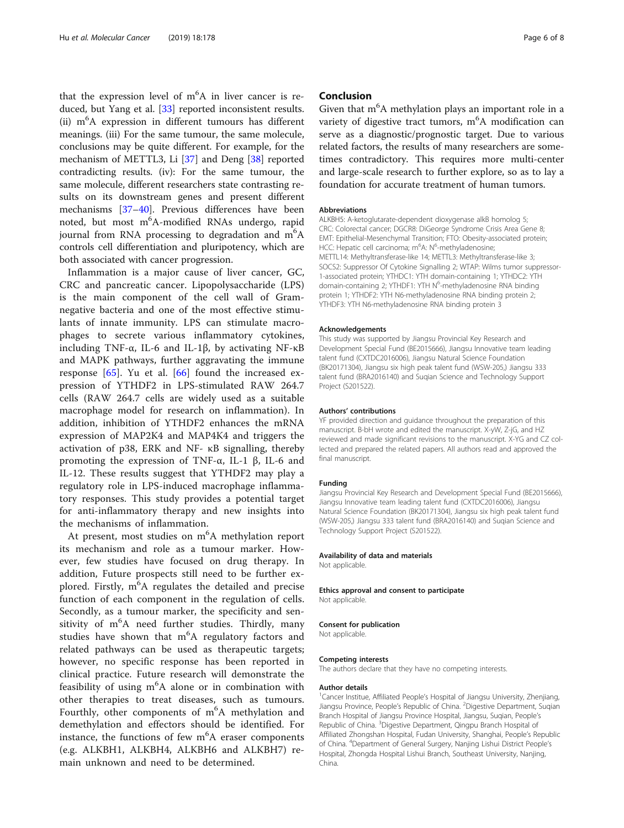that the expression level of m<sup>6</sup>A in liver cancer is reduced, but Yang et al. [\[33](#page-6-0)] reported inconsistent results. (ii) m<sup>6</sup>A expression in different tumours has different meanings. (iii) For the same tumour, the same molecule, conclusions may be quite different. For example, for the mechanism of METTL3, Li [\[37](#page-6-0)] and Deng [\[38](#page-6-0)] reported contradicting results. (iv): For the same tumour, the same molecule, different researchers state contrasting results on its downstream genes and present different mechanisms [[37](#page-6-0)–[40](#page-6-0)]. Previous differences have been noted, but most m<sup>6</sup>A-modified RNAs undergo, rapid journal from RNA processing to degradation and  $m^6A$ controls cell differentiation and pluripotency, which are both associated with cancer progression.

Inflammation is a major cause of liver cancer, GC, CRC and pancreatic cancer. Lipopolysaccharide (LPS) is the main component of the cell wall of Gramnegative bacteria and one of the most effective stimulants of innate immunity. LPS can stimulate macrophages to secrete various inflammatory cytokines, including TNF- $\alpha$ , IL-6 and IL-1β, by activating NF- $\kappa$ B and MAPK pathways, further aggravating the immune response  $[65]$  $[65]$ . Yu et al.  $[66]$  $[66]$  found the increased expression of YTHDF2 in LPS-stimulated RAW 264.7 cells (RAW 264.7 cells are widely used as a suitable macrophage model for research on inflammation). In addition, inhibition of YTHDF2 enhances the mRNA expression of MAP2K4 and MAP4K4 and triggers the activation of p38, ERK and NF- κB signalling, thereby promoting the expression of TNF-α, IL-1 β, IL-6 and IL-12. These results suggest that YTHDF2 may play a regulatory role in LPS-induced macrophage inflammatory responses. This study provides a potential target for anti-inflammatory therapy and new insights into the mechanisms of inflammation.

At present, most studies on m<sup>6</sup>A methylation report its mechanism and role as a tumour marker. However, few studies have focused on drug therapy. In addition, Future prospects still need to be further explored. Firstly, m<sup>6</sup>A regulates the detailed and precise function of each component in the regulation of cells. Secondly, as a tumour marker, the specificity and sensitivity of m<sup>6</sup>A need further studies. Thirdly, many studies have shown that m<sup>6</sup>A regulatory factors and related pathways can be used as therapeutic targets; however, no specific response has been reported in clinical practice. Future research will demonstrate the feasibility of using m<sup>6</sup>A alone or in combination with other therapies to treat diseases, such as tumours. Fourthly, other components of m<sup>6</sup>A methylation and demethylation and effectors should be identified. For instance, the functions of few m<sup>6</sup>A eraser components (e.g. ALKBH1, ALKBH4, ALKBH6 and ALKBH7) remain unknown and need to be determined.

## Conclusion

Given that m<sup>6</sup>A methylation plays an important role in a variety of digestive tract tumors, m<sup>6</sup>A modification can serve as a diagnostic/prognostic target. Due to various related factors, the results of many researchers are sometimes contradictory. This requires more multi-center and large-scale research to further explore, so as to lay a foundation for accurate treatment of human tumors.

#### Abbreviations

ALKBH5: A-ketoglutarate-dependent dioxygenase alkB homolog 5; CRC: Colorectal cancer; DGCR8: DiGeorge Syndrome Crisis Area Gene 8; EMT: Epithelial-Mesenchymal Transition; FTO: Obesity-associated protein; HCC: Hepatic cell carcinoma; m<sup>6</sup>A: N<sup>6</sup>-methyladenosine; METTL14: Methyltransferase-like 14; METTL3: Methyltransferase-like 3; SOCS2: Suppressor Of Cytokine Signalling 2; WTAP: Wilms tumor suppressor-1-associated protein; YTHDC1: YTH domain-containing 1; YTHDC2: YTH domain-containing 2; YTHDF1: YTH N<sup>6</sup>-methyladenosine RNA binding protein 1; YTHDF2: YTH N6-methyladenosine RNA binding protein 2; YTHDF3: YTH N6-methyladenosine RNA binding protein 3

#### Acknowledgements

This study was supported by Jiangsu Provincial Key Research and Development Special Fund (BE2015666), Jiangsu Innovative team leading talent fund (CXTDC2016006), Jiangsu Natural Science Foundation (BK20171304), Jiangsu six high peak talent fund (WSW-205,) Jiangsu 333 talent fund (BRA2016140) and Suqian Science and Technology Support Project (S201522).

#### Authors' contributions

YF provided direction and guidance throughout the preparation of this manuscript. B-bH wrote and edited the manuscript. X-yW, Z-jG, and HZ reviewed and made significant revisions to the manuscript. X-YG and CZ collected and prepared the related papers. All authors read and approved the final manuscript.

#### Funding

Jiangsu Provincial Key Research and Development Special Fund (BE2015666), Jiangsu Innovative team leading talent fund (CXTDC2016006), Jiangsu Natural Science Foundation (BK20171304), Jiangsu six high peak talent fund (WSW-205,) Jiangsu 333 talent fund (BRA2016140) and Suqian Science and Technology Support Project (S201522).

#### Availability of data and materials

Not applicable.

#### Ethics approval and consent to participate Not applicable.

## Consent for publication

Not applicable.

#### Competing interests

The authors declare that they have no competing interests.

#### Author details

<sup>1</sup> Cancer Institue, Affiliated People's Hospital of Jiangsu University, Zhenjiang, Jiangsu Province, People's Republic of China. <sup>2</sup>Digestive Department, Suqian Branch Hospital of Jiangsu Province Hospital, Jiangsu, Suqian, People's Republic of China. <sup>3</sup>Digestive Department, Qingpu Branch Hospital of Affiliated Zhongshan Hospital, Fudan University, Shanghai, People's Republic of China. <sup>4</sup> Department of General Surgery, Nanjing Lishui District People's Hospital, Zhongda Hospital Lishui Branch, Southeast University, Nanjing, China.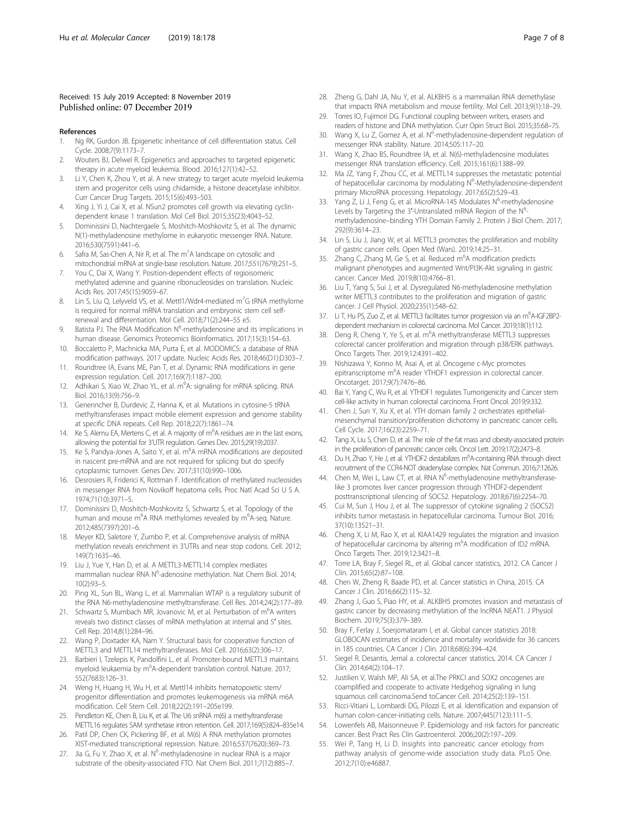#### <span id="page-6-0"></span>Received: 15 July 2019 Accepted: 8 November 2019 Published online: 07 December 2019

#### References

- 1. Ng RK, Gurdon JB. Epigenetic inheritance of cell differentiation status. Cell Cycle. 2008;7(9):1173–7.
- 2. Wouters BJ, Delwel R. Epigenetics and approaches to targeted epigenetic therapy in acute myeloid leukemia. Blood. 2016;127(1):42–52.
- 3. Li Y, Chen K, Zhou Y, et al. A new strategy to target acute myeloid leukemia stem and progenitor cells using chidamide, a histone deacetylase inhibitor. Curr Cancer Drug Targets. 2015;15(6):493–503.
- Xing J, Yi J, Cai X, et al. NSun2 promotes cell growth via elevating cyclindependent kinase 1 translation. Mol Cell Biol. 2015;35(23):4043–52.
- 5. Dominissini D, Nachtergaele S, Moshitch-Moshkovitz S, et al. The dynamic N(1)-methyladenosine methylome in eukaryotic messenger RNA. Nature. 2016;530(7591):441–6.
- 6. Safra M, Sas-Chen A, Nir R, et al. The m<sup>1</sup>A landscape on cytosolic and mitochondrial mRNA at single-base resolution. Nature. 2017;551(7679):251–5.
- 7. You C, Dai X, Wang Y. Position-dependent effects of regioisomeric methylated adenine and guanine ribonucleosides on translation. Nucleic Acids Res. 2017;45(15):9059–67.
- 8. Lin S, Liu Q, Lelyveld VS, et al. Mettl1/Wdr4-mediated m<sup>7</sup>G tRNA methylome is required for normal mRNA translation and embryonic stem cell selfrenewal and differentiation. Mol Cell. 2018;71(2):244–55 e5.
- 9. Batista PJ. The RNA Modification N<sup>6</sup>-methyladenosine and its implications in human disease. Genomics Proteomics Bioinformatics. 2017;15(3):154–63.
- 10. Boccaletto P, Machnicka MA, Purta E, et al. MODOMICS: a database of RNA modification pathways. 2017 update. Nucleic Acids Res. 2018;46(D1):D303–7.
- 11. Roundtree IA, Evans ME, Pan T, et al. Dynamic RNA modifications in gene expression regulation. Cell. 2017;169(7):1187–200.
- 12. Adhikari S, Xiao W, Zhao YL, et al. m<sup>6</sup>A: signaling for mRNA splicing. RNA Biol. 2016;13(9):756–9.
- 13. Genenncher B, Durdevic Z, Hanna K, et al. Mutations in cytosine-5 tRNA methyltransferases impact mobile element expression and genome stability at specific DNA repeats. Cell Rep. 2018;22(7):1861–74.
- 14. Ke S, Alemu EA, Mertens C, et al. A majority of m<sup>6</sup>A residues are in the last exons, allowing the potential for 3'UTR regulation. Genes Dev. 2015;29(19):2037.
- 15. Ke S, Pandya-Jones A, Saito Y, et al. m<sup>6</sup>A mRNA modifications are deposited in nascent pre-mRNA and are not required for splicing but do specify cytoplasmic turnover. Genes Dev. 2017;31(10):990–1006.
- 16. Desrosiers R, Friderici K, Rottman F. Identification of methylated nucleosides in messenger RNA from Novikoff hepatoma cells. Proc Natl Acad Sci U S A. 1974;71(10):3971–5.
- 17. Dominissini D, Moshitch-Moshkovitz S, Schwartz S, et al. Topology of the human and mouse m<sup>6</sup>A RNA methylomes revealed by m<sup>6</sup>A-seq. Nature. 2012;485(7397):201–6.
- 18. Meyer KD, Saletore Y, Zumbo P, et al. Comprehensive analysis of mRNA methylation reveals enrichment in 3'UTRs and near stop codons. Cell. 2012; 149(7):1635–46.
- 19. Liu J, Yue Y, Han D, et al. A METTL3-METTL14 complex mediates mammalian nuclear RNA N<sup>6</sup>-adenosine methylation. Nat Chem Biol. 2014; 10(2):93–5.
- 20. Ping XL, Sun BL, Wang L, et al. Mammalian WTAP is a regulatory subunit of the RNA N6-methyladenosine methyltransferase. Cell Res. 2014;24(2):177–89.
- 21. Schwartz S, Mumbach MR, Jovanovic M, et al. Perturbation of m<sup>6</sup>A writers reveals two distinct classes of mRNA methylation at internal and 5′ sites. Cell Rep. 2014;8(1):284–96.
- 22. Wang P, Doxtader KA, Nam Y. Structural basis for cooperative function of METTL3 and METTL14 methyltransferases. Mol Cell. 2016;63(2):306–17.
- 23. Barbieri I, Tzelepis K, Pandolfini L, et al. Promoter-bound METTL3 maintains myeloid leukaemia by m<sup>6</sup>A-dependent translation control. Nature. 2017; 552(7683):126–31.
- 24. Weng H, Huang H, Wu H, et al. Mettl14 inhibits hematopoietic stem/ progenitor differentiation and promotes leukemogenesis via mRNA m6A modification. Cell Stem Cell. 2018;22(2):191–205e199.
- 25. Pendleton KE, Chen B, Liu K, et al. The U6 snRNA m(6) a methyltransferase METTL16 regulates SAM synthetase intron retention. Cell. 2017;169(5):824–835e14.
- 26. Patil DP, Chen CK, Pickering BF, et al. M(6) A RNA methylation promotes XIST-mediated transcriptional repression. Nature. 2016;537(7620):369–73.
- 27. Jia G, Fu Y, Zhao X, et al. N<sup>6</sup>-methyladenosine in nuclear RNA is a major substrate of the obesity-associated FTO. Nat Chem Biol. 2011;7(12):885–7.
- 28. Zheng G, Dahl JA, Niu Y, et al. ALKBH5 is a mammalian RNA demethylase that impacts RNA metabolism and mouse fertility. Mol Cell. 2013;9(1):18–29.
- 29. Torres IO, Fujimori DG, Functional coupling between writers, erasers and readers of histone and DNA methylation. Curr Opin Struct Biol. 2015;35:68–75.
- 30. Wang X, Lu Z, Gomez A, et al. N<sup>6</sup>-methyladenosine-dependent regulation of messenger RNA stability. Nature. 2014;505:117–20.
- 31. Wang X, Zhao BS, Roundtree IA, et al. N(6)-methyladenosine modulates messenger RNA translation efficiency. Cell. 2015;161(6):1388–99.
- 32. Ma JZ, Yang F, Zhou CC, et al. METTL14 suppresses the metastatic potential of hepatocellular carcinoma by modulating N<sup>6</sup>-Methyladenosine-dependent primary MicroRNA processing. Hepatology. 2017;65(2):529–43.
- 33. Yang Z, Li J, Feng G, et al. MicroRNA-145 Modulates N<sup>6</sup>-methyladenosine Levels by Targeting the 3'-Untranslated mRNA Region of the N<sup>6</sup>methyladenosine–binding YTH Domain Family 2. Protein J Biol Chem. 2017; 292(9):3614–23.
- 34. Lin S, Liu J, Jiang W, et al. METTL3 promotes the proliferation and mobility of gastric cancer cells. Open Med (Wars). 2019;14:25–31.
- 35. Zhang C, Zhang M, Ge S, et al. Reduced m<sup>6</sup>A modification predicts malignant phenotypes and augmented Wnt/PI3K-Akt signaling in gastric cancer. Cancer Med. 2019;8(10):4766–81.
- 36. Liu T, Yang S, Sui J, et al. Dysregulated N6-methyladenosine methylation writer METTL3 contributes to the proliferation and migration of gastric cancer. J Cell Physiol. 2020;235(1):548–62.
- 37. Li T, Hu PS, Zuo Z, et al. METTL3 facilitates tumor progression via an m<sup>6</sup>A-IGF2BP2dependent mechanism in colorectal carcinoma. Mol Cancer. 2019;18(1):112.
- 38. Deng R, Cheng Y, Ye S, et al. m<sup>6</sup>A methyltransferase METTL3 suppresses colorectal cancer proliferation and migration through p38/ERK pathways. Onco Targets Ther. 2019;12:4391–402.
- 39. Nishizawa Y, Konno M, Asai A, et al. Oncogene c-Myc promotes epitranscriptome m<sup>6</sup>A reader YTHDF1 expression in colorectal cancer. Oncotarget. 2017;9(7):7476–86.
- 40. Bai Y, Yang C, Wu R, et al. YTHDF1 regulates Tumorigenicity and Cancer stem cell-like activity in human colorectal carcinoma. Front Oncol. 2019;9:332.
- 41. Chen J, Sun Y, Xu X, et al. YTH domain family 2 orchestrates epithelialmesenchymal transition/proliferation dichotomy in pancreatic cancer cells. Cell Cycle. 2017;16(23):2259–71.
- 42. Tang X, Liu S, Chen D, et al. The role of the fat mass and obesity-associated protein in the proliferation of pancreatic cancer cells. Oncol Lett. 2019;17(2):2473–8.
- 43. Du H, Zhao Y, He J, et al. YTHDF2 destabilizes m<sup>6</sup>A-containing RNA through direct recruitment of the CCR4-NOT deadenylase complex. Nat Commun. 2016;7:12626.
- 44. Chen M, Wei L, Law CT, et al. RNA N<sup>6</sup>-methyladenosine methyltransferaselike 3 promotes liver cancer progression through YTHDF2-dependent posttranscriptional silencing of SOCS2. Hepatology. 2018;67(6):2254–70.
- 45. Cui M, Sun J, Hou J, et al. The suppressor of cytokine signaling 2 (SOCS2) inhibits tumor metastasis in hepatocellular carcinoma. Tumour Biol. 2016; 37(10):13521–31.
- 46. Cheng X, Li M, Rao X, et al. KIAA1429 regulates the migration and invasion of hepatocellular carcinoma by altering m<sup>6</sup>A modification of ID2 mRNA Onco Targets Ther. 2019;12:3421–8.
- 47. Torre LA, Bray F, Siegel RL, et al. Global cancer statistics, 2012. CA Cancer J Clin. 2015;65(2):87–108.
- 48. Chen W, Zheng R, Baade PD, et al. Cancer statistics in China, 2015. CA Cancer J Clin. 2016;66(2):115–32.
- 49. Zhang J, Guo S, Piao HY, et al. ALKBH5 promotes invasion and metastasis of gastric cancer by decreasing methylation of the lncRNA NEAT1. J Physiol Biochem. 2019;75(3):379–389.
- 50. Bray F, Ferlay J, Soerjomataram I, et al. Global cancer statistics 2018: GLOBOCAN estimates of incidence and mortality worldwide for 36 cancers in 185 countries. CA Cancer J Clin. 2018;68(6):394–424.
- 51. Siegel R. Desantis, Jemal a. colorectal cancer statistics, 2014. CA Cancer J Clin. 2014;64(2):104–17.
- 52. Justilien V, Walsh MP, Ali SA, et al.The PRKCI and SOX2 oncogenes are coamplified and cooperate to activate Hedgehog signaling in lung squamous cell carcinoma.Send toCancer Cell. 2014;25(2):139–151.
- 53. Ricci-Vitiani L, Lombardi DG, Pilozzi E, et al. Identification and expansion of human colon-cancer-initiating cells. Nature. 2007;445(7123):111–5.
- 54. Lowenfels AB, Maisonneuve P. Epidemiology and risk factors for pancreatic cancer. Best Pract Res Clin Gastroenterol. 2006;20(2):197–209.
- 55. Wei P, Tang H, Li D. Insights into pancreatic cancer etiology from pathway analysis of genome-wide association study data. PLoS One. 2012;7(10):e46887.